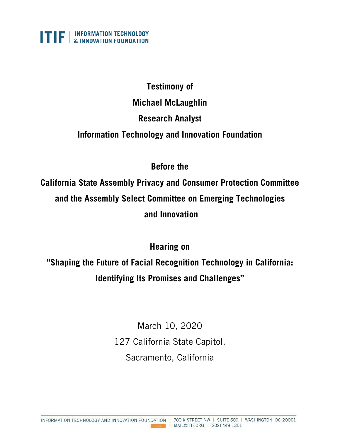

# **Testimony of Michael McLaughlin Research Analyst Information Technology and Innovation Foundation**

# **Before the**

**California State Assembly Privacy and Consumer Protection Committee and the Assembly Select Committee on Emerging Technologies and Innovation** 

**Hearing on** 

**"Shaping the Future of Facial Recognition Technology in California: Identifying Its Promises and Challenges"**

> March 10, 2020 127 California State Capitol, Sacramento, California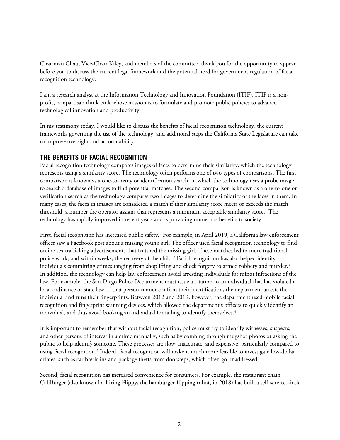Chairman Chau, Vice-Chair Kiley, and members of the committee, thank you for the opportunity to appear before you to discuss the current legal framework and the potential need for government regulation of facial recognition technology.

I am a research analyst at the Information Technology and Innovation Foundation (ITIF). ITIF is a nonprofit, nonpartisan think tank whose mission is to formulate and promote public policies to advance technological innovation and productivity.

In my testimony today, I would like to discuss the benefits of facial recognition technology, the current frameworks governing the use of the technology, and additional steps the California State Legislature can take to improve oversight and accountability.

#### **THE BENEFITS OF FACIAL RECOGNITION**

Facial recognition technology compares images of faces to determine their similarity, which the technology represents using a similarity score. The technology often performs one of two types of comparisons. The first comparison is known as a one-to-many or identification search, in which the technology uses a probe image to search a database of images to find potential matches. The second comparison is known as a one-to-one or verification search as the technology compares two images to determine the similarity of the faces in them. In many cases, the faces in images are considered a match if their similarity score meets or exceeds the match threshold, a number the operator assigns that represents a minimum acceptable similarity score.<sup>[1](#page-8-0)</sup> The technology has rapidly improved in recent years and is providing numerous benefits to society.

First, facial recognition has increased public safety.[2](#page-8-1) For example, in April 2019, a California law enforcement officer saw a Facebook post about a missing young girl. The officer used facial recognition technology to find online sex trafficking advertisements that featured the missing girl. These matches led to more traditional police work, and within weeks, the recovery of the child.<sup>[3](#page-8-2)</sup> Facial recognition has also helped identify individuals committing crimes ranging from shoplifting and check forgery to armed robbery and murder.<sup>[4](#page-8-3)</sup> In addition, the technology can help law enforcement avoid arresting individuals for minor infractions of the law. For example, the San Diego Police Department must issue a citation to an individual that has violated a local ordinance or state law. If that person cannot confirm their identification, the department arrests the individual and runs their fingerprints. Between 2012 and 2019, however, the department used mobile facial recognition and fingerprint scanning devices, which allowed the department's officers to quickly identify an individual, and thus avoid booking an individual for failing to identify themselves.<sup>[5](#page-8-4)</sup>

It is important to remember that without facial recognition, police must try to identify witnesses, suspects, and other persons of interest in a crime manually, such as by combing through mugshot photos or asking the public to help identify someone. These processes are slow, inaccurate, and expensive, particularly compared to using facial recognition.[6](#page-8-5) Indeed, facial recognition will make it much more feasible to investigate low-dollar crimes, such as car break-ins and package thefts from doorsteps, which often go unaddressed.

Second, facial recognition has increased convenience for consumers. For example, the restaurant chain CaliBurger (also known for hiring Flippy, the hamburger-flipping robot, in 2018) has built a self-service kiosk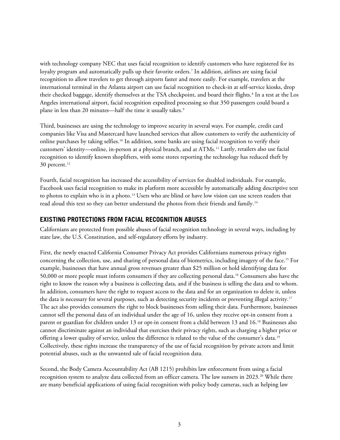with technology company NEC that uses facial recognition to identify customers who have registered for its loyalty program and automatically pulls up their favorite orders.<sup>[7](#page-8-6)</sup> In addition, airlines are using facial recognition to allow travelers to get through airports faster and more easily. For example, travelers at the international terminal in the Atlanta airport can use facial recognition to check-in at self-service kiosks, drop their checked baggage, identify themselves at the TSA checkpoint, and board their flights.<sup>[8](#page-8-7)</sup> In a test at the Los Angeles international airport, facial recognition expedited processing so that 350 passengers could board a plane in less than 20 minutes—half the time it usually takes.<sup>[9](#page-8-8)</sup>

Third, businesses are using the technology to improve security in several ways. For example, credit card companies like Visa and Mastercard have launched services that allow customers to verify the authenticity of online purchases by taking selfies[.10](#page-8-9) In addition, some banks are using facial recognition to verify their customers' identity—online, in-person at a physical branch, and at ATMs.[11](#page-9-0) Lastly, retailers also use facial recognition to identify known shoplifters, with some stores reporting the technology has reduced theft by 30 percent.<sup>[12](#page-9-1)</sup>

Fourth, facial recognition has increased the accessibility of services for disabled individuals. For example, Facebook uses facial recognition to make its platform more accessible by automatically adding descriptive text to photos to explain who is in a photo.<sup>[13](#page-9-2)</sup> Users who are blind or have low vision can use screen readers that read aloud this text so they can better understand the photos from their friends and family.<sup>[14](#page-9-3)</sup>

#### **EXISTING PROTECTIONS FROM FACIAL RECOGNITION ABUSES**

Californians are protected from possible abuses of facial recognition technology in several ways, including by state law, the U.S. Constitution, and self-regulatory efforts by industry.

First, the newly enacted California Consumer Privacy Act provides Californians numerous privacy rights concerning the collection, use, and sharing of personal data of biometrics, including imagery of the face.[15](#page-9-4) For example, businesses that have annual gross revenues greater than \$25 million or hold identifying data for 50,000 or more people must inform consumers if they are collecting personal data.[16](#page-9-5) Consumers also have the right to know the reason why a business is collecting data, and if the business is selling the data and to whom. In addition, consumers have the right to request access to the data and for an organization to delete it, unless the data is necessary for several purposes, such as detecting security incidents or preventing illegal activity.<sup>[17](#page-9-6)</sup> The act also provides consumers the right to block businesses from selling their data. Furthermore, businesses cannot sell the personal data of an individual under the age of 16, unless they receive opt-in consent from a parent or guardian for children under 13 or opt-in consent from a child between 13 and 16.[18](#page-9-7) Businesses also cannot discriminate against an individual that exercises their privacy rights, such as charging a higher price or offering a lower quality of service, unless the difference is related to the value of the consumer's data.<sup>[19](#page-9-8)</sup> Collectively, these rights increase the transparency of the use of facial recognition by private actors and limit potential abuses, such as the unwanted sale of facial recognition data.

Second, the Body Camera Accountability Act (AB 1215) prohibits law enforcement from using a facial recognition system to analyze data collected from an officer camera. The law sunsets in [20](#page-9-9)23.<sup>20</sup> While there are many beneficial applications of using facial recognition with policy body cameras, such as helping law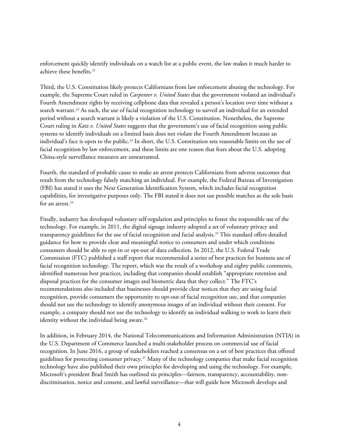enforcement quickly identify individuals on a watch list at a public event, the law makes it much harder to achieve these benefits.<sup>[21](#page-10-0)</sup>

Third, the U.S. Constitution likely protects Californians from law enforcement abusing the technology. For example, the Supreme Court ruled in *Carpenter v. United States* that the government violated an individual's Fourth Amendment rights by receiving cellphone data that revealed a person's location over time without a search warrant.<sup>[22](#page-10-1)</sup> As such, the use of facial recognition technology to surveil an individual for an extended period without a search warrant is likely a violation of the U.S. Constitution. Nonetheless, the Supreme Court ruling in *Katz v. United States* suggests that the government's use of facial recognition using public systems to identify individuals on a limited basis does not violate the Fourth Amendment because an individual's face is open to the public.[23](#page-10-2) In short, the U.S. Constitution sets reasonable limits on the use of facial recognition by law enforcement, and these limits are one reason that fears about the U.S. adopting China-style surveillance measures are unwarranted.

Fourth, the standard of probable cause to make an arrest protects Californians from adverse outcomes that result from the technology falsely matching an individual. For example, the Federal Bureau of Investigation (FBI) has stated it uses the Next Generation Identification System, which includes facial recognition capabilities, for investigative purposes only. The FBI stated it does not use possible matches as the sole basis for an arrest.<sup>[24](#page-10-3)</sup>

Finally, industry has developed voluntary self-regulation and principles to foster the responsible use of the technology. For example, in 2011, the digital signage industry adopted a set of voluntary privacy and transparency guidelines for the use of facial recognition and facial analysis[.25](#page-10-4) This standard offers detailed guidance for how to provide clear and meaningful notice to consumers and under which conditions consumers should be able to opt-in or opt-out of data collection. In 2012, the U.S. Federal Trade Commission (FTC) published a staff report that recommended a series of best practices for business use of facial recognition technology. The report, which was the result of a workshop and eighty public comments, identified numerous best practices, including that companies should establish "appropriate retention and disposal practices for the consumer images and biometric data that they collect." The FTC's recommendations also included that businesses should provide clear notices that they are using facial recognition, provide consumers the opportunity to opt-out of facial recognition use, and that companies should not use the technology to identify anonymous images of an individual without their consent. For example, a company should not use the technology to identify an individual walking to work to learn their identity without the individual being aware.<sup>[26](#page-10-5)</sup>

In addition, in February 2014, the National Telecommunications and Information Administration (NTIA) in the U.S. Department of Commerce launched a multi-stakeholder process on commercial use of facial recognition. In June 2016, a group of stakeholders reached a consensus on a set of best practices that offered guidelines for protecting consumer privacy[.27](#page-10-6) Many of the technology companies that make facial recognition technology have also published their own principles for developing and using the technology. For example, Microsoft's president Brad Smith has outlined six principles—fairness, transparency, accountability, nondiscrimination, notice and consent, and lawful surveillance—that will guide how Microsoft develops and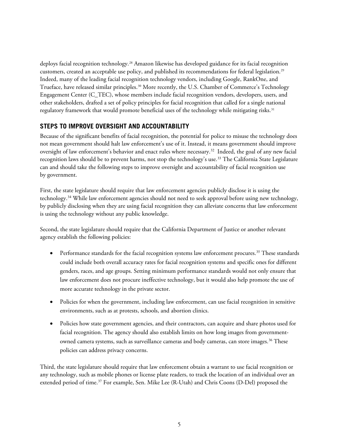deploys facial recognition technology.<sup>[28](#page-10-7)</sup> Amazon likewise has developed guidance for its facial recognition customers, created an acceptable use policy, and published its recommendations for federal legislation.[29](#page-10-8) Indeed, many of the leading facial recognition technology vendors, including Google, RankOne, and Trueface, have released similar principles[.30](#page-10-9) More recently, the U.S. Chamber of Commerce's Technology Engagement Center (C\_TEC), whose members include facial recognition vendors, developers, users, and other stakeholders, drafted a set of policy principles for facial recognition that called for a single national regulatory framework that would promote beneficial uses of the technology while mitigating risks.<sup>[31](#page-11-0)</sup>

## **STEPS TO IMPROVE OVERSIGHT AND ACCOUNTABILITY**

Because of the significant benefits of facial recognition, the potential for police to misuse the technology does not mean government should halt law enforcement's use of it. Instead, it means government should improve oversight of law enforcement's behavior and enact rules where necessary. [32](#page-11-1) Indeed, the goal of any new facial recognition laws should be to prevent harms, not stop the technology's use.[33](#page-11-2) The California State Legislature can and should take the following steps to improve oversight and accountability of facial recognition use by government.

First, the state legislature should require that law enforcement agencies publicly disclose it is using the technology.[34](#page-11-3) While law enforcement agencies should not need to seek approval before using new technology, by publicly disclosing when they are using facial recognition they can alleviate concerns that law enforcement is using the technology without any public knowledge.

Second, the state legislature should require that the California Department of Justice or another relevant agency establish the following policies:

- Performance standards for the facial recognition systems law enforcement procures.<sup>[35](#page-11-4)</sup> These standards could include both overall accuracy rates for facial recognition systems and specific ones for different genders, races, and age groups. Setting minimum performance standards would not only ensure that law enforcement does not procure ineffective technology, but it would also help promote the use of more accurate technology in the private sector.
- Policies for when the government, including law enforcement, can use facial recognition in sensitive environments, such as at protests, schools, and abortion clinics.
- Policies how state government agencies, and their contractors, can acquire and share photos used for facial recognition. The agency should also establish limits on how long images from government-owned camera systems, such as surveillance cameras and body cameras, can store images.<sup>[36](#page-11-5)</sup> These policies can address privacy concerns.

Third, the state legislature should require that law enforcement obtain a warrant to use facial recognition or any technology, such as mobile phones or license plate readers, to track the location of an individual over an extended period of time. [37](#page-11-6) For example, Sen. Mike Lee (R-Utah) and Chris Coons (D-Del) proposed the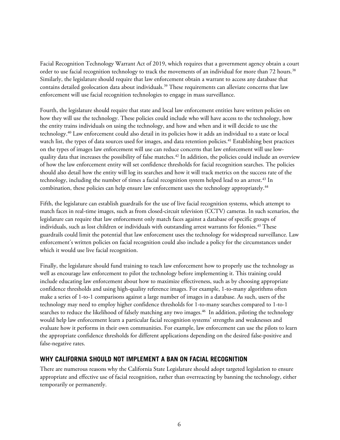Facial Recognition Technology Warrant Act of 2019, which requires that a government agency obtain a court order to use facial recognition technology to track the movements of an individual for more than 72 hours.<sup>[38](#page-11-7)</sup> Similarly, the legislature should require that law enforcement obtain a warrant to access any database that contains detailed geolocation data about individuals.<sup>[39](#page-11-8)</sup> These requirements can alleviate concerns that law enforcement will use facial recognition technologies to engage in mass surveillance.

Fourth, the legislature should require that state and local law enforcement entities have written policies on how they will use the technology. These policies could include who will have access to the technology, how the entity trains individuals on using the technology, and how and when and it will decide to use the technology.[40](#page-11-9) Law enforcement could also detail in its policies how it adds an individual to a state or local watch list, the types of data sources used for images, and data retention policies.<sup>[41](#page-11-10)</sup> Establishing best practices on the types of images law enforcement will use can reduce concerns that law enforcement will use low-quality data that increases the possibility of false matches.<sup>[42](#page-12-0)</sup> In addition, the policies could include an overview of how the law enforcement entity will set confidence thresholds for facial recognition searches. The policies should also detail how the entity will log its searches and how it will track metrics on the success rate of the technology, including the number of times a facial recognition system helped lead to an arrest.<sup>[43](#page-12-1)</sup> In combination, these policies can help ensure law enforcement uses the technology appropriately. [44](#page-12-2)

Fifth, the legislature can establish guardrails for the use of live facial recognition systems, which attempt to match faces in real-time images, such as from closed-circuit television (CCTV) cameras. In such scenarios, the legislature can require that law enforcement only match faces against a database of specific groups of individuals, such as lost children or individuals with outstanding arrest warrants for felonies. [45](#page-12-3) These guardrails could limit the potential that law enforcement uses the technology for widespread surveillance. Law enforcement's written policies on facial recognition could also include a policy for the circumstances under which it would use live facial recognition.

Finally, the legislature should fund training to teach law enforcement how to properly use the technology as well as encourage law enforcement to pilot the technology before implementing it. This training could include educating law enforcement about how to maximize effectiveness, such as by choosing appropriate confidence thresholds and using high-quality reference images. For example, 1-to-many algorithms often make a series of 1-to-1 comparisons against a large number of images in a database. As such, users of the technology may need to employ higher confidence thresholds for 1-to-many searches compared to 1-to-1 searches to reduce the likelihood of falsely matching any two images.<sup>[46](#page-12-4)</sup> In addition, piloting the technology would help law enforcement learn a particular facial recognition systems' strengths and weaknesses and evaluate how it performs in their own communities. For example, law enforcement can use the pilots to learn the appropriate confidence thresholds for different applications depending on the desired false-positive and false-negative rates.

### **WHY CALIFORNIA SHOULD NOT IMPLEMENT A BAN ON FACIAL RECOGNITION**

There are numerous reasons why the California State Legislature should adopt targeted legislation to ensure appropriate and effective use of facial recognition, rather than overreacting by banning the technology, either temporarily or permanently.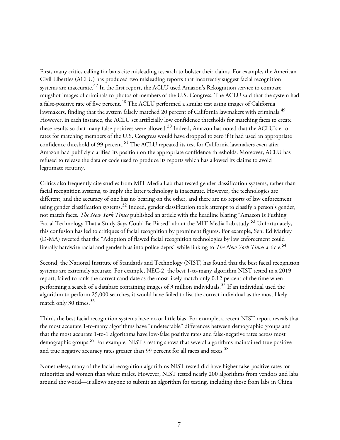First, many critics calling for bans cite misleading research to bolster their claims. For example, the American Civil Liberties (ACLU) has produced two misleading reports that incorrectly suggest facial recognition systems are inaccurate.<sup>[47](#page-12-5)</sup> In the first report, the ACLU used Amazon's Rekognition service to compare mugshot images of criminals to photos of members of the U.S. Congress. The ACLU said that the system had a false-positive rate of five percent.<sup>[48](#page-12-6)</sup> The ACLU performed a similar test using images of California lawmakers, finding that the system falsely matched 20 percent of California lawmakers with criminals.<sup>[49](#page-12-7)</sup> However, in each instance, the ACLU set artificially low confidence thresholds for matching faces to create these results so that many false positives were allowed.<sup>[50](#page-12-8)</sup> Indeed, Amazon has noted that the ACLU's error rates for matching members of the U.S. Congress would have dropped to zero if it had used an appropriate confidence threshold of 99 percent.<sup>[51](#page-12-9)</sup> The ACLU repeated its test for California lawmakers even after Amazon had publicly clarified its position on the appropriate confidence thresholds. Moreover, ACLU has refused to release the data or code used to produce its reports which has allowed its claims to avoid legitimate scrutiny.

Critics also frequently cite studies from MIT Media Lab that tested gender classification systems, rather than facial recognition systems, to imply the latter technology is inaccurate. However, the technologies are different, and the accuracy of one has no bearing on the other, and there are no reports of law enforcement using gender classification systems.<sup>[52](#page-13-0)</sup> Indeed, gender classification tools attempt to classify a person's gender, not match faces. *The New York Times* published an article with the headline blaring "Amazon Is Pushing Facial Technology That a Study Says Could Be Biased" about the MIT Media Lab study.<sup>[53](#page-13-1)</sup> Unfortunately, this confusion has led to critiques of facial recognition by prominent figures. For example, Sen. Ed Markey (D-MA) tweeted that the "Adoption of flawed facial recognition technologies by law enforcement could literally hardwire racial and gender bias into police depts" while linking to *The New York Times* article.[54](#page-13-2)

Second, the National Institute of Standards and Technology (NIST) has found that the best facial recognition systems are extremely accurate. For example, NEC-2, the best 1-to-many algorithm NIST tested in a 2019 report, failed to rank the correct candidate as the most likely match only 0.12 percent of the time when performing a search of a database containing images of 3 million individuals.<sup>[55](#page-13-3)</sup> If an individual used the algorithm to perform 25,000 searches, it would have failed to list the correct individual as the most likely match only 30 times. $56$ 

Third, the best facial recognition systems have no or little bias. For example, a recent NIST report reveals that the most accurate 1-to-many algorithms have "undetectable" differences between demographic groups and that the most accurate 1-to-1 algorithms have low-false positive rates and false-negative rates across most demographic groups.<sup>[57](#page-13-5)</sup> For example, NIST's testing shows that several algorithms maintained true positive and true negative accuracy rates greater than 99 percent for all races and sexes.<sup>[58](#page-13-6)</sup>

Nonetheless, many of the facial recognition algorithms NIST tested did have higher false-positive rates for minorities and women than white males. However, NIST tested nearly 200 algorithms from vendors and labs around the world—it allows anyone to submit an algorithm for testing, including those from labs in China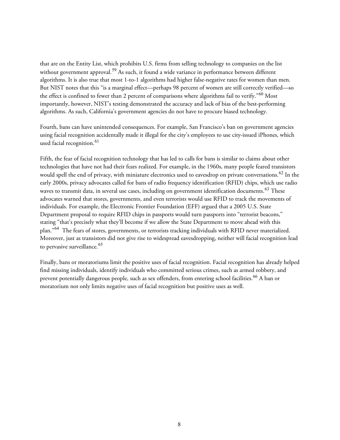that are on the Entity List, which prohibits U.S. firms from selling technology to companies on the list without government approval.<sup>[59](#page-13-7)</sup> As such, it found a wide variance in performance between different algorithms. It is also true that most 1-to-1 algorithms had higher false-negative rates for women than men. But NIST notes that this "is a marginal effect—perhaps 98 percent of women are still correctly verified—so the effect is confined to fewer than 2 percent of comparisons where algorithms fail to verify."<sup>[60](#page-13-8)</sup> Most importantly, however, NIST's testing demonstrated the accuracy and lack of bias of the best-performing algorithms. As such, California's government agencies do not have to procure biased technology.

Fourth, bans can have unintended consequences. For example, San Francisco's ban on government agencies using facial recognition accidentally made it illegal for the city's employees to use city-issued iPhones, which used facial recognition. [61](#page-13-9)

Fifth, the fear of facial recognition technology that has led to calls for bans is similar to claims about other technologies that have not had their fears realized. For example, in the 1960s, many people feared transistors would spell the end of privacy, with miniature electronics used to eavesdrop on private conversations.<sup>[62](#page-14-0)</sup> In the early 2000s, privacy advocates called for bans of radio frequency identification (RFID) chips, which use radio waves to transmit data, in several use cases, including on government identification documents.<sup>[63](#page-14-1)</sup> These advocates warned that stores, governments, and even terrorists would use RFID to track the movements of individuals. For example, the Electronic Frontier Foundation (EFF) argued that a 2005 U.S. State Department proposal to require RFID chips in passports would turn passports into "terrorist beacons," stating "that's precisely what they'll become if we allow the State Department to move ahead with this plan."<sup>[64](#page-14-2)</sup> The fears of stores, governments, or terrorists tracking individuals with RFID never materialized. Moreover, just as transistors did not give rise to widespread eavesdropping, neither will facial recognition lead to pervasive surveillance.<sup>[65](#page-14-3)</sup>

Finally, bans or moratoriums limit the positive uses of facial recognition. Facial recognition has already helped find missing individuals, identify individuals who committed serious crimes, such as armed robbery, and prevent potentially dangerous people, such as sex offenders, from entering school facilities.<sup>[66](#page-14-4)</sup> A ban or moratorium not only limits negative uses of facial recognition but positive uses as well.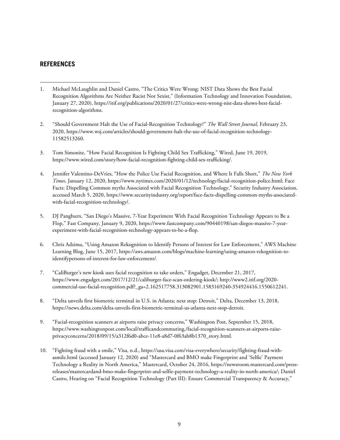#### **REFERENCES**

- <span id="page-8-0"></span>1. Michael McLaughlin and Daniel Castro, "The Critics Were Wrong: NIST Data Shows the Best Facial Recognition Algorithms Are Neither Racist Nor Sexist," (Information Technology and Innovation Foundation, January 27, 2020), https://itif.org/publications/2020/01/27/critics-were-wrong-nist-data-shows-best-facialrecognition-algorithms.
- <span id="page-8-1"></span>2. "Should Government Halt the Use of Facial-Recognition Technology?" *The Wall Street Journal*, February 23, 2020, https://www.wsj.com/articles/should-government-halt-the-use-of-facial-recognition-technology-11582513260.
- <span id="page-8-2"></span>3. Tom Simonite, "How Facial Recognition Is Fighting Child Sex Trafficking," Wired, June 19, 2019, https://www.wired.com/story/how-facial-recognition-fighting-child-sex-trafficking/.
- <span id="page-8-3"></span>4. Jennifer Valentino-DeVries, "How the Police Use Facial Recognition, and Where It Falls Short," *The New York Times*, January 12, 2020, https://www.nytimes.com/2020/01/12/technology/facial-recognition-police.html; Face Facts: Dispelling Common myths Associated with Facial Recognition Technology," Security Industry Association, accessed March 5, 2020, https://www.securityindustry.org/report/face-facts-dispelling-common-myths-associatedwith-facial-recognition-technology/.
- <span id="page-8-4"></span>5. DJ Pangburn, "San Diego's Massive, 7-Year Experiment With Facial Recognition Technology Appears to Be a Flop," Fast Company, January 9, 2020, https://www.fastcompany.com/90440198/san-diegos-massive-7-yearexperiment-with-facial-recognition-technology-appears-to-be-a-flop.
- <span id="page-8-5"></span>6. Chris Adzima, "Using Amazon Rekognition to Identify Persons of Interest for Law Enforcement," AWS Machine Learning Blog, June 15, 2017, https://aws.amazon.com/blogs/machine-learning/using-amazon-rekognition-toidentifypersons-of-interest-for-law-enforcement/.
- <span id="page-8-6"></span>7. "CaliBurger's new kiosk uses facial recognition to take orders," Engadget, December 21, 2017, https://www.engadget.com/2017/12/21/caliburger-face-scan-ordering-kiosk/; http://www2.itif.org/2020 commercial-use-facial-recognition.pdf?\_ga=2.162517758.313082901.1583169240-354924416.1550612241.
- <span id="page-8-7"></span>8. "Delta unveils first biometric terminal in U.S. in Atlanta; next stop: Detroit," Delta, December 13, 2018, https://news.delta.com/delta-unveils-first-biometric-terminal-us-atlanta-next-stop-detroit.
- <span id="page-8-8"></span>9. "Facial-recognition scanners at airports raise privacy concerns," Washington Post, September 15, 2018, https://www.washingtonpost.com/local/trafficandcommuting,/facial-recognition-scanners-at-airports-raiseprivacyconcerns/2018/09/15/a312f6d0-abce-11e8-a8d7-0f63ab8b1370\_story.html.
- <span id="page-8-9"></span>10. "Fighting fraud with a smile," Visa, n.d., https://usa.visa.com/visa-everywhere/security/fighting-fraud-withasmile.html (accessed January 12, 2020) and "Mastercard and BMO make Fingerprint and 'Selfie' Payment Technology a Reality in North America," Mastercard, October 24, 2016, https://newsroom.mastercard.com/pressreleases/mastercardand-bmo-make-fingerprint-and-selfie-payment-technology-a-reality-in-north-america/; Daniel Castro, Hearing on "Facial Recognition Technology (Part III): Ensure Commercial Transparency & Accuracy,"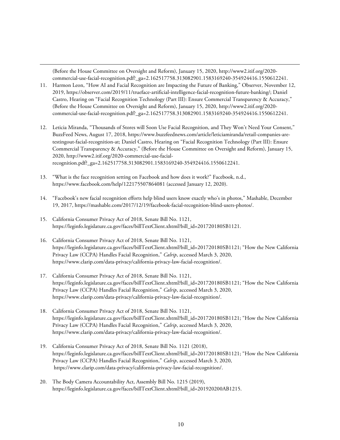(Before the House Committee on Oversight and Reform), January 15, 2020, http://www2.itif.org/2020 commercial-use-facial-recognition.pdf?\_ga=2.162517758.313082901.1583169240-354924416.1550612241.

- <span id="page-9-0"></span>11. Harmon Leon, "How AI and Facial Recognition are Impacting the Future of Banking," Observer, November 12, 2019, https://observer.com/2019/11/trueface-artificial-intelligence-facial-recognition-future-banking/; Daniel Castro, Hearing on "Facial Recognition Technology (Part III): Ensure Commercial Transparency & Accuracy," (Before the House Committee on Oversight and Reform), January 15, 2020, http://www2.itif.org/2020 commercial-use-facial-recognition.pdf?\_ga=2.162517758.313082901.1583169240-354924416.1550612241.
- <span id="page-9-1"></span>12. Leticia Miranda, "Thousands of Stores will Soon Use Facial Recognition, and They Won't Need Your Consent," BuzzFeed News, August 17, 2018, https://www.buzzfeednews.com/article/leticiamiranda/retail-companies-aretestingout-facial-recognition-at; Daniel Castro, Hearing on "Facial Recognition Technology (Part III): Ensure Commercial Transparency & Accuracy," (Before the House Committee on Oversight and Reform), January 15, 2020, http://www2.itif.org/2020-commercial-use-facialrecognition.pdf?\_ga=2.162517758.313082901.1583169240-354924416.1550612241.
- <span id="page-9-2"></span>13. "What is the face recognition setting on Facebook and how does it work?" Facebook, n.d., https://www.facebook.com/help/122175507864081 (accessed January 12, 2020).
- <span id="page-9-3"></span>14. "Facebook's new facial recognition efforts help blind users know exactly who's in photos," Mashable, December 19, 2017, https://mashable.com/2017/12/19/facebook-facial-recognition-blind-users-photos/.
- <span id="page-9-4"></span>15. California Consumer Privacy Act of 2018, Senate Bill No. 1121, https://leginfo.legislature.ca.gov/faces/billTextClient.xhtml?bill\_id=201720180SB1121.
- <span id="page-9-5"></span>16. California Consumer Privacy Act of 2018, Senate Bill No. 1121, https://leginfo.legislature.ca.gov/faces/billTextClient.xhtml?bill\_id=201720180SB1121; "How the New California Privacy Law (CCPA) Handles Facial Recognition," *Calrip*, accessed March 3, 2020, https://www.clarip.com/data-privacy/california-privacy-law-facial-recognition/.
- <span id="page-9-6"></span>17. California Consumer Privacy Act of 2018, Senate Bill No. 1121, https://leginfo.legislature.ca.gov/faces/billTextClient.xhtml?bill\_id=201720180SB1121; "How the New California Privacy Law (CCPA) Handles Facial Recognition," *Calrip*, accessed March 3, 2020, https://www.clarip.com/data-privacy/california-privacy-law-facial-recognition/.
- <span id="page-9-7"></span>18. California Consumer Privacy Act of 2018, Senate Bill No. 1121, https://leginfo.legislature.ca.gov/faces/billTextClient.xhtml?bill\_id=201720180SB1121; "How the New California Privacy Law (CCPA) Handles Facial Recognition," *Calrip*, accessed March 3, 2020, https://www.clarip.com/data-privacy/california-privacy-law-facial-recognition/.
- <span id="page-9-8"></span>19. California Consumer Privacy Act of 2018, Senate Bill No. 1121 (2018), https://leginfo.legislature.ca.gov/faces/billTextClient.xhtml?bill\_id=201720180SB1121; "How the New California Privacy Law (CCPA) Handles Facial Recognition," *Calrip*, accessed March 3, 2020, https://www.clarip.com/data-privacy/california-privacy-law-facial-recognition/.
- <span id="page-9-9"></span>20. The Body Camera Accountability Act, Assembly Bill No. 1215 (2019), https://leginfo.legislature.ca.gov/faces/billTextClient.xhtml?bill\_id=201920200AB1215.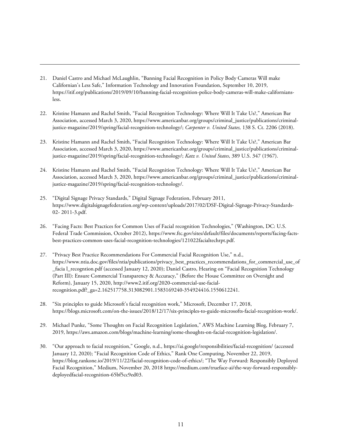- <span id="page-10-0"></span>21. Daniel Castro and Michael McLaughlin, "Banning Facial Recognition in Policy Body Cameras Will make Californian's Less Safe," Information Technology and Innovation Foundation, September 10, 2019, https://itif.org/publications/2019/09/10/banning-facial-recognition-police-body-cameras-will-make-californiansless.
- <span id="page-10-1"></span>22. Kristine Hamann and Rachel Smith, "Facial Recognition Technology: Where Will It Take Us?," American Bar Association, accessed March 3, 2020, https://www.americanbar.org/groups/criminal\_justice/publications/criminaljustice-magazine/2019/spring/facial-recognition-technology/; *Carpenter v. United States,* 138 S. Ct. 2206 (2018).
- <span id="page-10-2"></span>23. Kristine Hamann and Rachel Smith, "Facial Recognition Technology: Where Will It Take Us?," American Bar Association, accessed March 3, 2020, https://www.americanbar.org/groups/criminal\_justice/publications/criminaljustice-magazine/2019/spring/facial-recognition-technology/; *Katz v. United States*, 389 U.S. 347 (1967).
- <span id="page-10-3"></span>24. Kristine Hamann and Rachel Smith, "Facial Recognition Technology: Where Will It Take Us?," American Bar Association, accessed March 3, 2020, https://www.americanbar.org/groups/criminal\_justice/publications/criminaljustice-magazine/2019/spring/facial-recognition-technology/.
- <span id="page-10-4"></span>25. "Digital Signage Privacy Standards," Digital Signage Federation, February 2011, https://www.digitalsignagefederation.org/wp-content/uploads/2017/02/DSF-Digital-Signage-Privacy-Standards-02- 2011-3.pdf.
- <span id="page-10-5"></span>26. "Facing Facts: Best Practices for Common Uses of Facial recognition Technologies," (Washington, DC: U.S. Federal Trade Commission, October 2012), https://www.ftc.gov/sites/default/files/documents/reports/facing-factsbest-practices-common-uses-facial-recognition-technologies/121022facialtechrpt.pdf.
- <span id="page-10-6"></span>27. "Privacy Best Practice Recommendations For Commercial Facial Recognition Use," n.d., https://www.ntia.doc.gov/files/ntia/publications/privacy\_best\_practices\_recommendations\_for\_commercial\_use\_of \_facia l\_recogntion.pdf (accessed January 12, 2020); Daniel Castro, Hearing on "Facial Recognition Technology (Part III): Ensure Commercial Transparency & Accuracy," (Before the House Committee on Oversight and Reform), January 15, 2020, http://www2.itif.org/2020-commercial-use-facialrecognition.pdf?\_ga=2.162517758.313082901.1583169240-354924416.1550612241.
- <span id="page-10-7"></span>28. "Six principles to guide Microsoft's facial recognition work," Microsoft, December 17, 2018, https://blogs.microsoft.com/on-the-issues/2018/12/17/six-principles-to-guide-microsofts-facial-recognition-work/.
- <span id="page-10-8"></span>29. Michael Punke, "Some Thoughts on Facial Recognition Legislation," AWS Machine Learning Blog, February 7, 2019, https://aws.amazon.com/blogs/machine-learning/some-thoughts-on-facial-recognition-legislation/.
- <span id="page-10-9"></span>30. "Our approach to facial recognition," Google, n.d., https://ai.google/responsibilities/facial-recognition/ (accessed January 12, 2020); "Facial Recognition Code of Ethics," Rank One Computing, November 22, 2019, https://blog.rankone.io/2019/11/22/facial-recognition-code-of-ethics/; "The Way Forward: Responsibly Deployed Facial Recognition," Medium, November 20, 2018 https://medium.com/trueface-ai/the-way-forward-responsiblydeployedfacial-recognition-65bf5cc9ed03.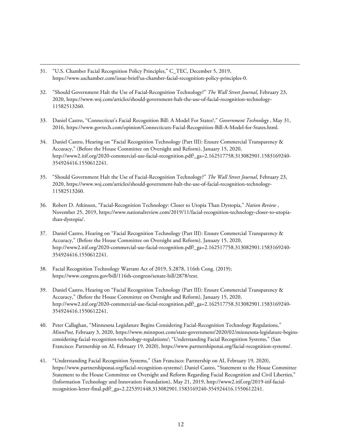- <span id="page-11-0"></span>31. "U.S. Chamber Facial Recognition Policy Principles," C\_TEC, December 5, 2019, https://www.uschamber.com/issue-brief/us-chamber-facial-recognition-policy-principles-0.
- <span id="page-11-1"></span>32. "Should Government Halt the Use of Facial-Recognition Technology?" *The Wall Street Journal*, February 23, 2020, https://www.wsj.com/articles/should-government-halt-the-use-of-facial-recognition-technology-11582513260.
- <span id="page-11-2"></span>33. Daniel Castro, "Connecticut's Facial Recognition Bill: A Model For States?," *Government Technology* , May 31, 2016, https://www.govtech.com/opinion/Connecticuts-Facial-Recognition-Bill-A-Model-for-States.html.
- <span id="page-11-3"></span>34. Daniel Castro, Hearing on "Facial Recognition Technology (Part III): Ensure Commercial Transparency & Accuracy," (Before the House Committee on Oversight and Reform), January 15, 2020, http://www2.itif.org/2020-commercial-use-facial-recognition.pdf?\_ga=2.162517758.313082901.1583169240- 354924416.1550612241.
- <span id="page-11-4"></span>35. "Should Government Halt the Use of Facial-Recognition Technology?" *The Wall Street Journal*, February 23, 2020, https://www.wsj.com/articles/should-government-halt-the-use-of-facial-recognition-technology-11582513260.
- <span id="page-11-5"></span>36. Robert D. Atkinson, "Facial-Recognition Technology: Closer to Utopia Than Dystopia," *Nation Review* , November 25, 2019, https://www.nationalreview.com/2019/11/facial-recognition-technology-closer-to-utopiathan-dystopia/.
- <span id="page-11-6"></span>37. Daniel Castro, Hearing on "Facial Recognition Technology (Part III): Ensure Commercial Transparency & Accuracy," (Before the House Committee on Oversight and Reform), January 15, 2020, http://www2.itif.org/2020-commercial-use-facial-recognition.pdf?\_ga=2.162517758.313082901.1583169240- 354924416.1550612241.
- <span id="page-11-7"></span>38. Facial Recognition Technology Warrant Act of 2019, S.2878, 116th Cong. (2019); https://www.congress.gov/bill/116th-congress/senate-bill/2878/text.
- <span id="page-11-8"></span>39. Daniel Castro, Hearing on "Facial Recognition Technology (Part III): Ensure Commercial Transparency & Accuracy," (Before the House Committee on Oversight and Reform), January 15, 2020, http://www2.itif.org/2020-commercial-use-facial-recognition.pdf?\_ga=2.162517758.313082901.1583169240- 354924416.1550612241.
- <span id="page-11-9"></span>40. Peter Callaghan, "Minnesota Legislature Begins Considering Facial-Recognition Technology Regulations," *MinnPost,* February 3, 2020, https://www.minnpost.com/state-government/2020/02/minnesota-legislature-beginsconsidering-facial-recognition-technology-regulations/; "Understanding Facial Recognition Systems," (San Francisco: Partnership on AI, February 19, 2020), https://www.partnershiponai.org/facial-recognition-systems/.
- <span id="page-11-10"></span>41. "Understanding Facial Recognition Systems," (San Francisco: Partnership on AI, February 19, 2020), https://www.partnershiponai.org/facial-recognition-systems/; Daniel Castro, "Statement to the House Committee Statement to the House Committee on Oversight and Reform Regarding Facial Recognition and Civil Liberties," (Information Technology and Innovation Foundation), May 21, 2019, http://www2.itif.org/2019-itif-facialrecognition-letter-final.pdf?\_ga=2.225391448.313082901.1583169240-354924416.1550612241.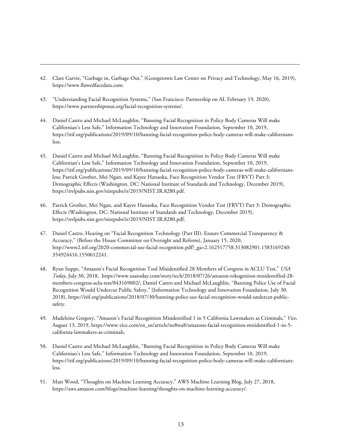- <span id="page-12-0"></span>42. Clare Garvie, "Garbage in, Garbage Out," (Georgetown Law Center on Privacy and Technology, May 16, 2019), https://www.flawedfacedata.com.
- <span id="page-12-1"></span>43. "Understanding Facial Recognition Systems," (San Francisco: Partnership on AI, February 19, 2020), https://www.partnershiponai.org/facial-recognition-systems/.
- <span id="page-12-2"></span>44. Daniel Castro and Michael McLaughlin, "Banning Facial Recognition in Policy Body Cameras Will make Californian's Less Safe," Information Technology and Innovation Foundation, September 10, 2019, https://itif.org/publications/2019/09/10/banning-facial-recognition-police-body-cameras-will-make-californiansless.
- <span id="page-12-3"></span>45. Daniel Castro and Michael McLaughlin, "Banning Facial Recognition in Policy Body Cameras Will make Californian's Less Safe," Information Technology and Innovation Foundation, September 10, 2019, https://itif.org/publications/2019/09/10/banning-facial-recognition-police-body-cameras-will-make-californiansless; Patrick Grother, Mei Ngan, and Kayee Hanaoka, Face Recognition Vendor Test (FRVT) Part 3: Demographic Effects (Washington, DC: National Institute of Standards and Technology, December 2019), https://nvlpubs.nist.gov/nistpubs/ir/2019/NIST.IR.8280.pdf.
- <span id="page-12-4"></span>46. Patrick Grother, Mei Ngan, and Kayee Hanaoka, Face Recognition Vendor Test (FRVT) Part 3: Demographic Effects (Washington, DC: National Institute of Standards and Technology, December 2019), https://nvlpubs.nist.gov/nistpubs/ir/2019/NIST.IR.8280.pdf.
- <span id="page-12-5"></span>47. Daniel Castro, Hearing on "Facial Recognition Technology (Part III): Ensure Commercial Transparency & Accuracy," (Before the House Committee on Oversight and Reform), January 15, 2020, http://www2.itif.org/2020-commercial-use-facial-recognition.pdf?\_ga=2.162517758.313082901.1583169240- 354924416.1550612241.
- <span id="page-12-6"></span>48. Ryan Suppe, "Amazon's Facial Recognition Tool Misidentified 28 Members of Congress in ACLU Test," *USA Today*, July 30, 2018, https://www.usatoday.com/story/tech/2018/07/26/amazon-rekognition-misidentified-28 members-congress-aclu-test/843169002/; Daniel Castro and Michael McLaughlin, "Banning Police Use of Facial Recognition Would Undercut Public Safety," (Information Technology and Innovation Foundation, July 30, 2018), https://itif.org/publications/2018/07/30/banning-police-use-facial-recognition-would-undercut-publicsafety.
- <span id="page-12-7"></span>49. Madeleine Gregory, "Amazon's Facial Recognition Misidentified 1 in 5 California Lawmakers as Criminals," *Vice*, August 13, 2019, https://www.vice.com/en\_us/article/ne8wa8/amazons-facial-recognition-misidentified-1-in-5 california-lawmakers-as-criminals.
- <span id="page-12-8"></span>50. Daniel Castro and Michael McLaughlin, "Banning Facial Recognition in Policy Body Cameras Will make Californian's Less Safe," Information Technology and Innovation Foundation, September 10, 2019, https://itif.org/publications/2019/09/10/banning-facial-recognition-police-body-cameras-will-make-californiansless.
- <span id="page-12-9"></span>51. Matt Wood, "Thoughts on Machine Learning Accuracy," AWS Machine Learning Blog, July 27, 2018, [https://aws.amazon.com/blogs/machine-learning/thoughts-on-machine-learning-accuracy/.](https://aws.amazon.com/blogs/machine-learning/thoughts-on-machine-learning-accuracy/)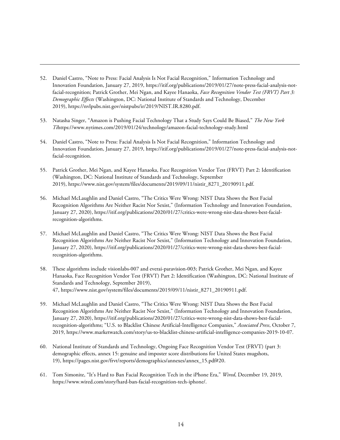- <span id="page-13-0"></span>52. Daniel Castro, "Note to Press: Facial Analysis Is Not Facial Recognition," Information Technology and Innovation Foundation, January 27, 2019, https://itif.org/publications/2019/01/27/note-press-facial-analysis-notfacial-recognition; Patrick Grother, Mei Ngan, and Kayee Hanaoka, *Face Recognition Vendor Test (FRVT) Part 3: Demographic Effects* (Washington, DC: National Institute of Standards and Technology, December 2019), [https://nvlpubs.nist.gov/nistpubs/ir/2019/NIST.IR.8280.pdf.](https://nvlpubs.nist.gov/nistpubs/ir/2019/NIST.IR.8280.pdf#page=6)
- <span id="page-13-1"></span>53. Natasha Singer, "Amazon is Pushing Facial Technology That a Study Says Could Be Biased," *The New York Ti*<https://www.nytimes.com/2019/01/24/technology/amazon-facial-technology-study.html>
- <span id="page-13-2"></span>54. Daniel Castro, "Note to Press: Facial Analysis Is Not Facial Recognition," Information Technology and Innovation Foundation, January 27, 2019, https://itif.org/publications/2019/01/27/note-press-facial-analysis-notfacial-recognition.
- <span id="page-13-3"></span>55. Patrick Grother, Mei Ngan, and Kayee Hanaoka, Face Recognition Vendor Test (FRVT) Part 2: Identification (Washington, DC: National Institute of Standards and Technology, September 2019), https://www.nist.gov/system/files/documents/2019/09/11/nistir\_8271\_20190911.pdf.
- <span id="page-13-4"></span>56. Michael McLaughlin and Daniel Castro, "The Critics Were Wrong: NIST Data Shows the Best Facial Recognition Algorithms Are Neither Racist Nor Sexist," (Information Technology and Innovation Foundation, January 27, 2020), https://itif.org/publications/2020/01/27/critics-were-wrong-nist-data-shows-best-facialrecognition-algorithms.
- <span id="page-13-5"></span>57. Michael McLaughlin and Daniel Castro, "The Critics Were Wrong: NIST Data Shows the Best Facial Recognition Algorithms Are Neither Racist Nor Sexist," (Information Technology and Innovation Foundation, January 27, 2020), https://itif.org/publications/2020/01/27/critics-were-wrong-nist-data-shows-best-facialrecognition-algorithms.
- <span id="page-13-6"></span>58. These algorithms include visionlabs-007 and everai-paravision-003; Patrick Grother, Mei Ngan, and Kayee Hanaoka, Face Recognition Vendor Test (FRVT) Part 2: Identification (Washington, DC: National Institute of Standards and Technology, September 2019), 47, https://www.nist.gov/system/files/documents/2019/09/11/nistir\_8271\_20190911.pdf.
- <span id="page-13-7"></span>59. Michael McLaughlin and Daniel Castro, "The Critics Were Wrong: NIST Data Shows the Best Facial Recognition Algorithms Are Neither Racist Nor Sexist," (Information Technology and Innovation Foundation, January 27, 2020), https://itif.org/publications/2020/01/27/critics-were-wrong-nist-data-shows-best-facialrecognition-algorithms; "U.S. to Blacklist Chinese Artificial-Intelligence Companies," *Associated Press*, October 7, 2019, https://www.marketwatch.com/story/us-to-blacklist-chinese-artificial-intelligence-companies-2019-10-07.
- <span id="page-13-8"></span>60. National Institute of Standards and Technology, Ongoing Face Recognition Vendor Test (FRVT) (part 3: demographic effects, annex 15: genuine and imposter score distributions for United States mugshots, 19), https://pages.nist.gov/frvt/reports/demographics/annexes/annex\_15.pdf#20.
- <span id="page-13-9"></span>61. Tom Simonite, "It's Hard to Ban Facial Recognition Tech in the iPhone Era," *Wired*, December 19, 2019, https://www.wired.com/story/hard-ban-facial-recognition-tech-iphone/.